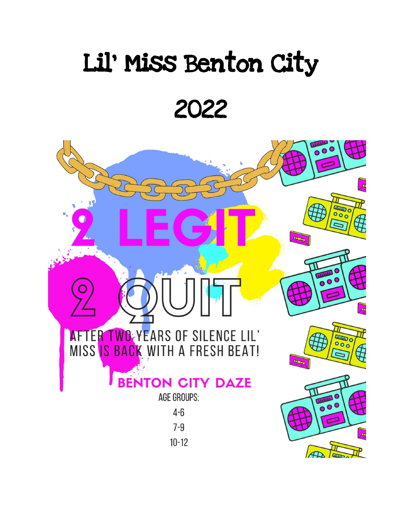# Lil' Miss Benton City

2022

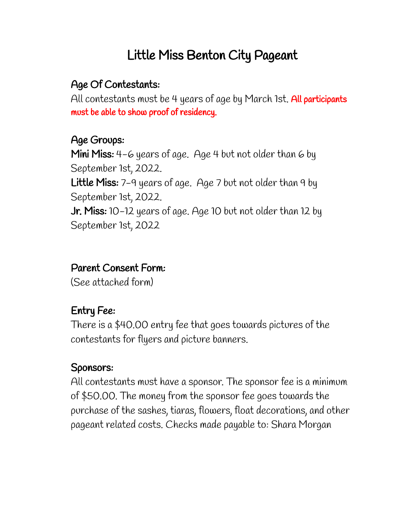# Little Miss Benton City Pageant

# Age Of Contestants:

All contestants must be 4 years of age by March 1st. All participants must be able to show proof of residency.

### Age Groups:

Mini Miss: 4-6 years of age. Age 4 but not older than 6 by September 1st, 2022. Little Miss: 7-9 years of age. Age 7 but not older than 9 by September 1st, 2022. Jr. Miss: 10-12 years of age. Age 10 but not older than 12 by September 1st, 2022

# Parent Consent Form:

(See attached form)

# Entry Fee:

There is a \$40.00 entry fee that goes towards pictures of the contestants for flyers and picture banners.

# Sponsors:

All contestants must have a sponsor. The sponsor fee is a minimum of \$50.00. The money from the sponsor fee goes towards the purchase of the sashes, tiaras, flowers, float decorations, and other pageant related costs. Checks made payable to: Shara Morgan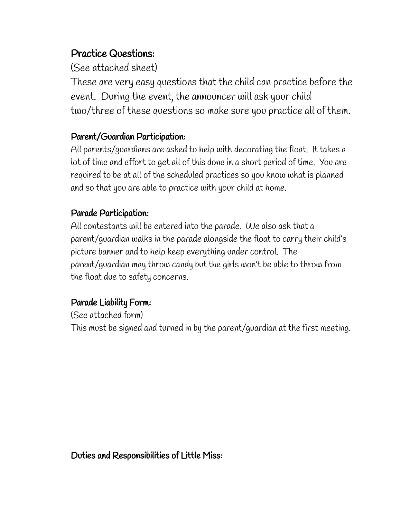#### Practice Questions:

(See attached sheet)

These are very easy questions that the child can practice before the event. During the event, the announcer will ask your child two/three of these questions so make sure you practice all of them.

#### Parent/Guardian Participation:

All parents/guardians are asked to help with decorating the float. It takes a lot of time and effort to get all of this done in a short period of time. You are required to be at all of the scheduled practices so you know what is planned and so that you are able to practice with your child at home.

#### Parade Participation:

All contestants will be entered into the parade. We also ask that a parent/guardian walks in the parade alongside the float to carry their child's picture banner and to help keep everything under control. The parent/guardian may throw candy but the girls won't be able to throw from the float due to safety concerns.

#### Parade Liability Form:

(See attached form)

This must be signed and turned in by the parent/guardian at the first meeting.

Duties and Responsibilities of Little Miss: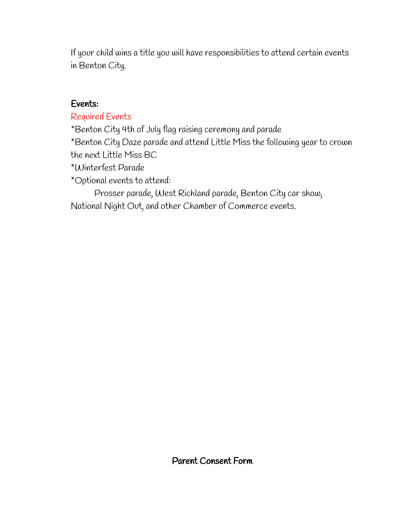If your child wins a title you will have responsibilities to attend certain events in Benton City.

#### Events:

#### Required Events

\*Benton City 4th of July flag raising ceremony and parade

\*Benton City Daze parade and attend Little Miss the following year to crown the next Little Miss BC

\*Winterfest Parade

\*Optional events to attend:

Prosser parade, West Richland parade, Benton City car show, National Night Out, and other Chamber of Commerce events.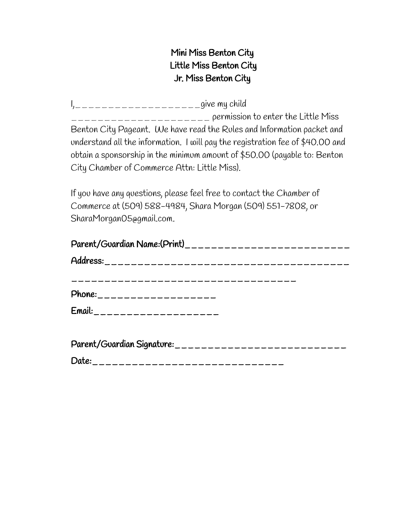#### Mini Miss Benton City Little Miss Benton City Jr. Miss Benton City

I,\_\_\_\_\_\_\_\_\_\_\_\_\_\_\_\_\_\_\_give my child \_\_\_\_\_\_\_\_\_\_\_\_\_\_\_\_\_\_\_\_\_ permission to enter the Little Miss Benton City Pageant. We have read the Rules and Information packet and understand all the information. I will pay the registration fee of \$40.00 and obtain a sponsorship in the minimum amount of \$50.00 (payable to: Benton City Chamber of Commerce Attn: Little Miss).

If you have any questions, please feel free to contact the Chamber of Commerce at (509) 588-4984, Shara Morgan (509) 551-7808, or SharaMorgan05@gmail.com.

| Parent/Guardian Name:(Print)_______________________________ |
|-------------------------------------------------------------|
|                                                             |
|                                                             |
|                                                             |
| $E$ mail: ______________________                            |
|                                                             |

| Parent/Guardian Signature: _________________________________ |
|--------------------------------------------------------------|
| Date:                                                        |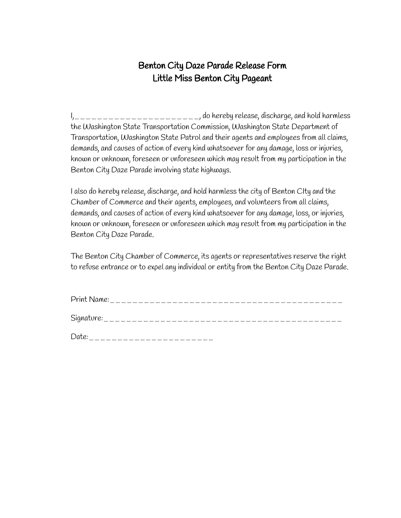#### Benton City Daze Parade Release Form Little Miss Benton City Pageant

I,\_\_\_\_\_\_\_\_\_\_\_\_\_\_\_\_\_\_\_\_\_\_, do hereby release, discharge, and hold harmless the Washington State Transportation Commission, Washington State Department of Transportation, Washington State Patrol and their agents and employees from all claims, demands, and causes of action of every kind whatsoever for any damage, loss or injuries, known or unknown, foreseen or unforeseen which may result from my participation in the Benton City Daze Parade involving state highways.

I also do hereby release, discharge, and hold harmless the city of Benton CIty and the Chamber of Commerce and their agents, employees, and volunteers from all claims, demands, and causes of action of every kind whatsoever for any damage, loss, or injuries, known or unknown, foreseen or unforeseen which may result from my participation in the Benton City Daze Parade.

The Benton City Chamber of Commerce, its agents or representatives reserve the right to refuse entrance or to expel any individual or entity from the Benton City Daze Parade.

| Print Name:                      |  |
|----------------------------------|--|
| Signature:                       |  |
| Date:<br>----------------------- |  |